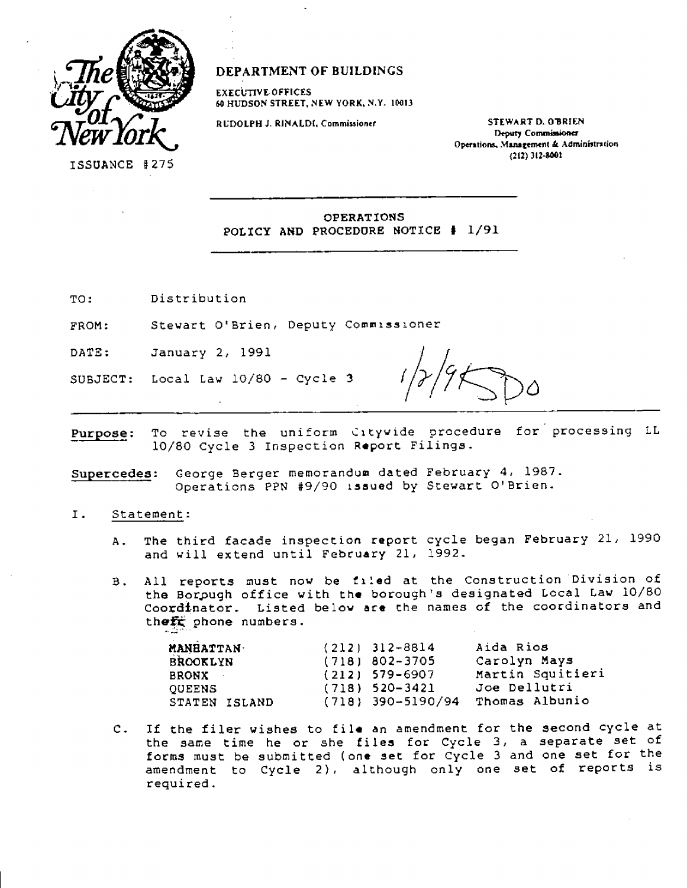

**DEPARTMENT OF BUILDINGS** 

**EXECUTIVE•OFFICES 60 HUDSON STREET, NEW YORK. N.Y. 10013** 

**RUDOLPH J. R1NALD1, Commissioner STEWART D. OBRIEN** 

**Deputy Commissioner Operations, Management Administration (212) 312-001** 

OPERATIONS POLICY AND PROCEDURE NOTICE # 1/91

TO: Distribution

FROM: Stewart O'Brien, Deputy Commissioner

DATE: January 2, 1991

SUBJECT: Local Law 10/80 - Cycle 3

Purpose: To revise the uniform Citywide procedure for processing LL 10/80 Cycle 3 Inspection Report Filings.

Supercedes: George Berger memorandum dated February 4, 1987. Operations PPN #9/90 issued by Stewart O'Brien.

- I. Statement:
	- A. The third facade inspection report cycle began February 21, 1990 and will extend until February 21, 1992.
	- B. All reports must now be filed at the Construction Division of the Borough office with the borough's designated Local Law 10/80 Coordinator. Listed below **are the** names of the coordinators and theft phone numbers.

| <b>MANHATTAN</b> | $(212)$ 312-8814    | Aida Rios        |
|------------------|---------------------|------------------|
| <b>BROOKLYN</b>  | $(718)$ 802-3705    | Carolyn Mays     |
| <b>BRONX</b>     | $(212)$ 579-6907    | Martin Squitieri |
| <b>OUEENS</b>    | $(718)$ 520-3421    | Joe Dellutri     |
| STATEN ISLAND    | $(718)$ 390-5190/94 | Thomas Albunio   |

C. If the filer wishes to file an amendment for the second cycle at the same time he or she files for Cycle 3, a separate set of forms must be submitted (one set for Cycle 3 and one set for the amendment to Cycle 2), although only one set of reports is required.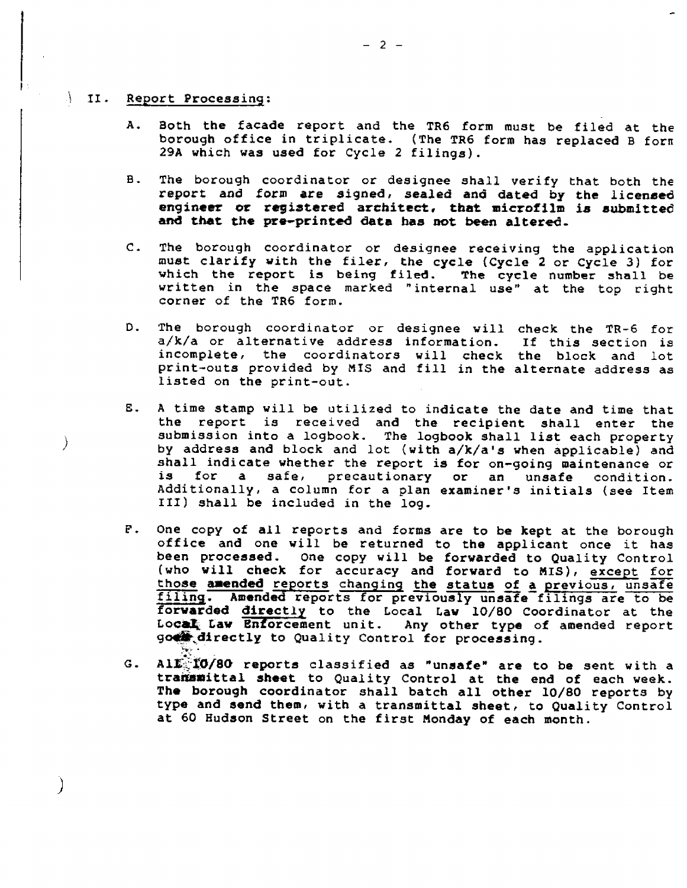## II. **Report Processing:**

- **A. Both the facade report and the TR6 form must be filed at the borough office in triplicate. (The TR6 form has replaced B fora 29A which was used for Cycle 2 filings).**
- **B. The borough coordinator or designee shall verify that both the report and form are signed, sealed and dated by the licensed engineer or registered architect, that microfilm is submitted and that the pre-printed data has not been altered.**
- **C. The borough coordinator or designee receiving the application must clarify with the filer, the cycle (Cycle 2 or Cycle 3) for which the report is being filed. The cycle number shall be written in the space marked "internal use" at the top right corner of the TR6 form.**
- **D. The borough coordinator or designee will check the TR-6 for a/k/a or alternative address information. If this section is incomplete, the coordinators will check the block and lot print-outs provided by MIS and fill in the alternate address as listed on the print-out.**
- **E. A time stamp will be utilized to indicate the date and time that the report is received and the recipient shall enter the submission into a logbook. The logbook shall list each property by address and block and lot (with a/k/a's when applicable) and shall indicate whether the report is for on-going maintenance or a** safe, precautionary or an unsafe condition. **Additionally, a column for a plan examiner's initials (see Item III) shall be included in the log.**
- **F. One copy of all reports and forms are to be kept at the borough office and one will be returned to the applicant once it has been processed. One copy will be forwarded to Quality Control (who will check for accuracy and forward to MIS), except for those amended reports changing the status of a previous, unsafe**  filing. Amended reports for previously unsafe filings are to be **forwarded directly to the Local Law 10/80 Coordinator at the Local Law Enforcement unit. Any other type of amended report goes directly to Quality Control for processing.**
- **G. All 10/80 reports classified as "unsafe" are to be sent with a transmittal sheet to Quality Control at the end of each week. The borough coordinator shall batch all other 10/80 reports by type and send them, with a transmittal sheet, to Quality Control at 60 Hudson Street on the first Monday of each month.**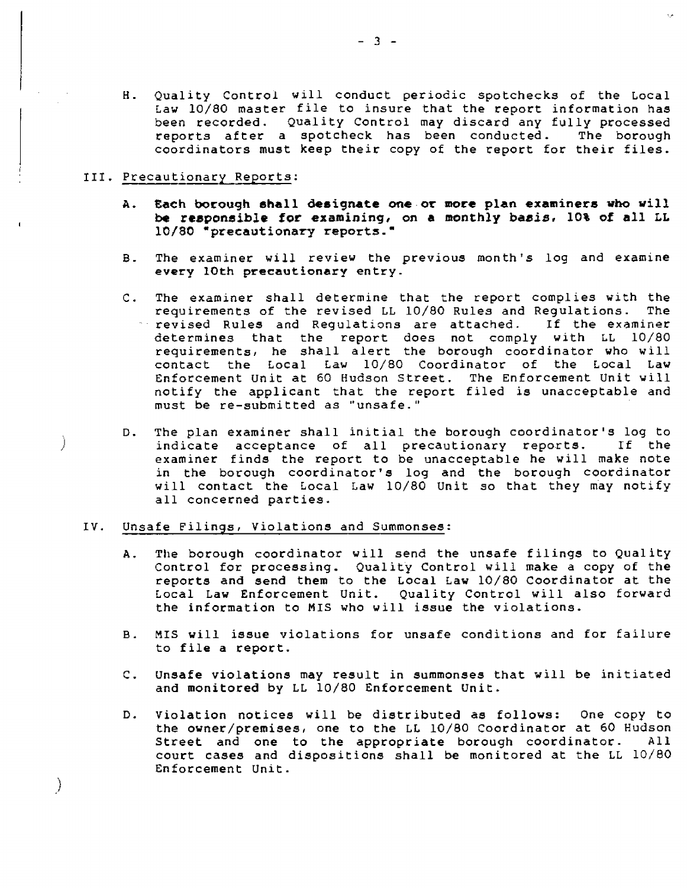H. Quality Control will conduct periodic spotchecks of the Local Law 10/80 master file to insure that the report information has been recorded. Quality Control may discard any fully processed reports after a spotcheck has been conducted. The borough coordinators must keep their copy of the report for their files.

#### III. Precautionary Reports:

 $\left\langle \right\rangle$ 

- **A. Each borough shall designate one or more plan examiners who will be responsible for examining, on a monthly basis, 10% of all LL**  10/80 **\*precautionary reports."**
- B. The examiner will review the previous month's log and examine **every 10th precautionary entry\_**
- C. The examiner shall determine that the report complies with the requirements of the revised LL 10/80 Rules and Requiations. The requirements of the revised LL 10/80 Rules and Regulations. The revised Rules and Regulations are attached. If the examiner  $\le$  revised Rules and Regulations are attached. determines that the report does not comply with LL 10/80 requirements, he shall alert the borough coordinator who will contact the Local Law 10/80 Coordinator of the Local Law Enforcement Unit at 60 Hudson Street. The Enforcement Unit will notify the applicant that the report filed is unacceptable and must be re-submitted as "unsafe."
- D. The plan examiner shall initial the borough coordinator's log to<br>indicate acceptance of all precautionary reports. If the indicate acceptance of all precautionary reports. examiner finds the report to be unacceptable he will make note in the borough coordinator's log and the borough coordinator will contact the Local Law 10/80 Unit so that they may notify all concerned parties.

#### IV. Unsafe Filings, Violations and Summonses:

- A. The borough coordinator will send the unsafe filings to Quality Control for processing. Quality Control will **make** a copy of the reports and send them to the Local Law 10/80 Coordinator at the Local Law Enforcement Unit. Quality Control will also forward the information to MIS who will issue the violations.
- B. MIS will issue violations for unsafe conditions and for failure to file a report.
- C. Unsafe violations may result in summonses that will be initiated and monitored by LL 10/80 Enforcement Unit.
- D. violation notices will be distributed as follows: One copy to the owner/premises, one to the LL 10/80 Coordinator at 60 Hudson<br>Street and one to the appropriate borough coordinator. All Street and one to the appropriate borough coordinator. court cases and dispositions shall be monitored at the LL 10/80 Enforcement Unit.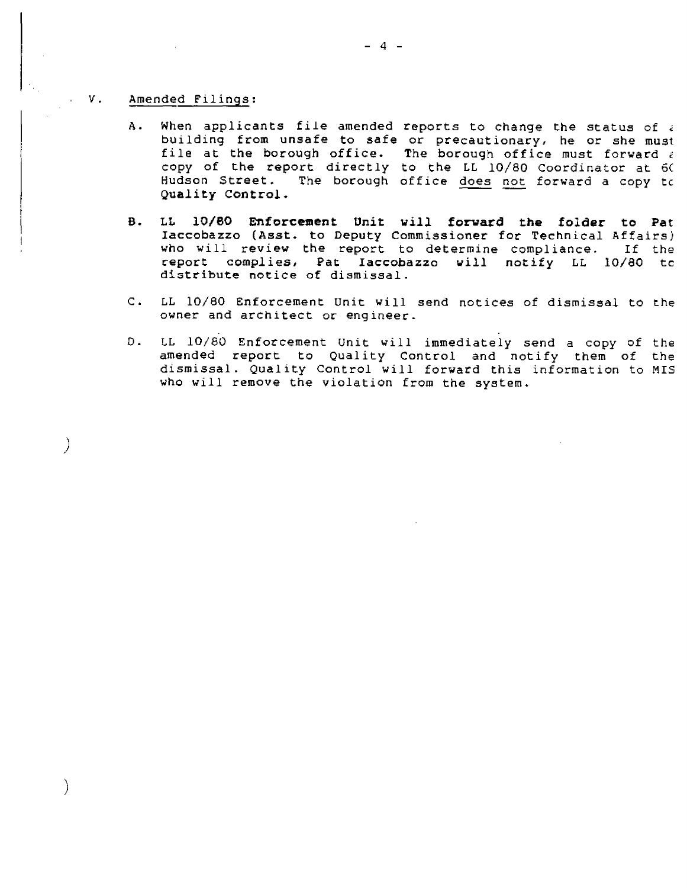#### V. Amended Filings:

 $\mathcal{C}$ 

Ì

- A. When applicants file amended reports to change the status of  $\epsilon$ building from unsafe to safe or precautionary, he or she must file at the borough office. The borough office must forward  $\epsilon$ copy of the report directly to the LL 10/80 Coordinator at 6C Hudson Street. The borough office does not forward a copy to **Quality Control.**
- **B. LL 10/80 Enforcement Unit will forward the folder to Pat Iaccobazzo (Asst. to Deputy** Commissioner for Technical Affairs) who will review the report to determine compliance. If the report complies, Pat **Iaccobazzo** will notify LL 10/80 tc distribute notice of dismissal.
- C. LL 10/80 Enforcement Unit will send notices of dismissal to the owner and architect or engineer.
- D. LL 10/80 Enforcement Unit will immediately send a copy of the amended report to Quality Control and notify them of the dismissal. Quality Control will forward this information to MIS who will remove the violation from the system.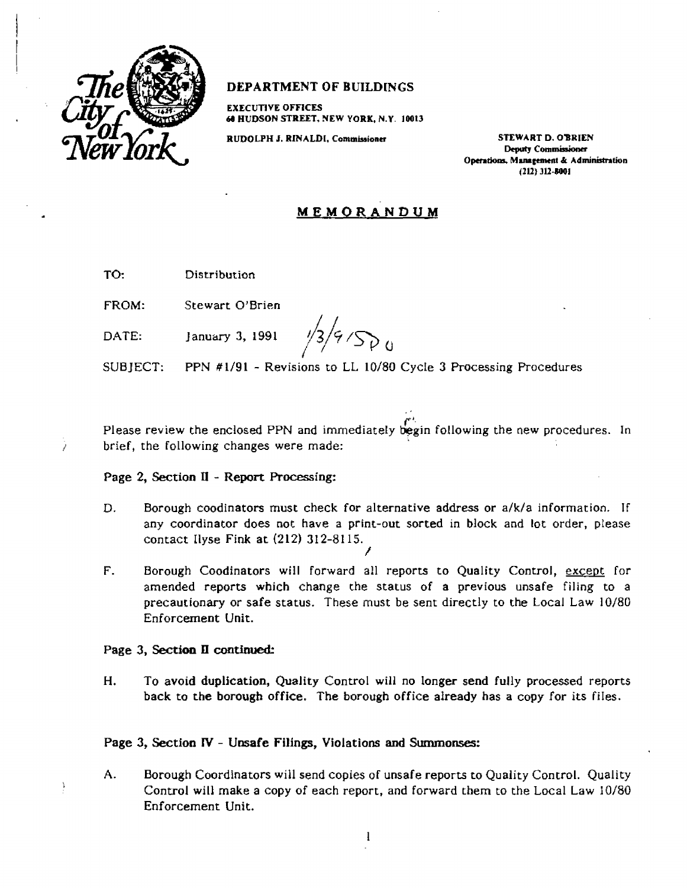

# **DEPARTMENT OF BUILDINGS**

**EXECUTIVE OFFICES 60 HUDSON STREET, NEW YORK, N.Y. 10013** 

**RUDOLPH 2. RINALDL Commissioner STEWART D. OBRIEN** 

**Deputy Commissioner Operations. Management & Administration (212) 312-1001** 

# **MEMORANDUM**

TO: **Distribution** 

FROM: Stewart O'Brien

DATE: January 3, 1991

 $4500$ 

SUBJECT: PPN #1191 - Revisions to LL 10/80 Cycle 3 Processing Procedures

Please review the enclosed PPN and immediately begin following the new procedures. In brief, the following changes were made:

## **Page 2, Section II - Report Processing:**

- D. Borough coodinators must check for alternative address or a/k/a information. If any coordinator does not have a print-out sorted in block and lot order, please contact Ilyse Fink at (212) 312-8115. /
- F. Borough Coodinators will forward all reports to Quality Control, except for amended reports which change the status of a previous unsafe filing to a precautionary or safe status. These must be sent directly to the Local Law 10/80 Enforcement Unit.

### **Page 3, Section II continued:**

**H. To avoid duplication, Quality** Control will **no longer send fully** processed reports back to **the borough office. The borough office already has** a copy for its files.

## **Page 3, Section IV - Unsafe Filings, Violations and Summonses:**

A. Borough Coordinators will send copies of unsafe reports to Quality Control. Quality Control will make a copy of each report, and forward them to the Local Law 10/80 Enforcement Unit.